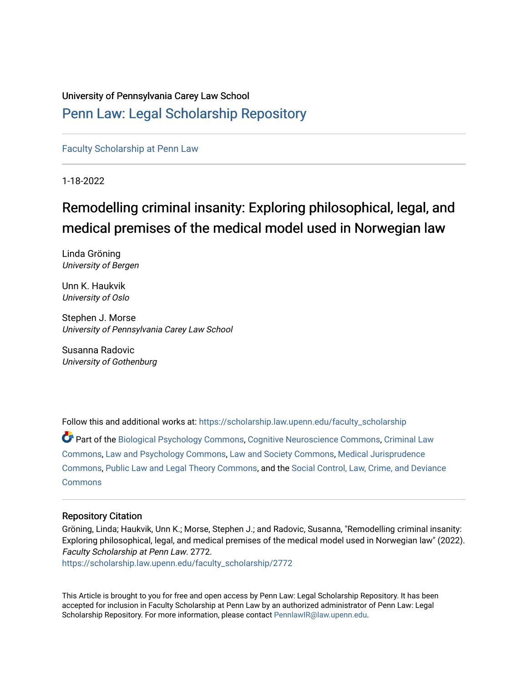# University of Pennsylvania Carey Law School [Penn Law: Legal Scholarship Repository](https://scholarship.law.upenn.edu/)

# [Faculty Scholarship at Penn Law](https://scholarship.law.upenn.edu/faculty_scholarship)

1-18-2022

# Remodelling criminal insanity: Exploring philosophical, legal, and medical premises of the medical model used in Norwegian law

Linda Gröning University of Bergen

Unn K. Haukvik University of Oslo

Stephen J. Morse University of Pennsylvania Carey Law School

Susanna Radovic University of Gothenburg

Follow this and additional works at: [https://scholarship.law.upenn.edu/faculty\\_scholarship](https://scholarship.law.upenn.edu/faculty_scholarship?utm_source=scholarship.law.upenn.edu%2Ffaculty_scholarship%2F2772&utm_medium=PDF&utm_campaign=PDFCoverPages) 

Part of the [Biological Psychology Commons,](http://network.bepress.com/hgg/discipline/405?utm_source=scholarship.law.upenn.edu%2Ffaculty_scholarship%2F2772&utm_medium=PDF&utm_campaign=PDFCoverPages) [Cognitive Neuroscience Commons](http://network.bepress.com/hgg/discipline/57?utm_source=scholarship.law.upenn.edu%2Ffaculty_scholarship%2F2772&utm_medium=PDF&utm_campaign=PDFCoverPages), [Criminal Law](http://network.bepress.com/hgg/discipline/912?utm_source=scholarship.law.upenn.edu%2Ffaculty_scholarship%2F2772&utm_medium=PDF&utm_campaign=PDFCoverPages) [Commons](http://network.bepress.com/hgg/discipline/912?utm_source=scholarship.law.upenn.edu%2Ffaculty_scholarship%2F2772&utm_medium=PDF&utm_campaign=PDFCoverPages), [Law and Psychology Commons](http://network.bepress.com/hgg/discipline/870?utm_source=scholarship.law.upenn.edu%2Ffaculty_scholarship%2F2772&utm_medium=PDF&utm_campaign=PDFCoverPages), [Law and Society Commons,](http://network.bepress.com/hgg/discipline/853?utm_source=scholarship.law.upenn.edu%2Ffaculty_scholarship%2F2772&utm_medium=PDF&utm_campaign=PDFCoverPages) [Medical Jurisprudence](http://network.bepress.com/hgg/discipline/860?utm_source=scholarship.law.upenn.edu%2Ffaculty_scholarship%2F2772&utm_medium=PDF&utm_campaign=PDFCoverPages) [Commons](http://network.bepress.com/hgg/discipline/860?utm_source=scholarship.law.upenn.edu%2Ffaculty_scholarship%2F2772&utm_medium=PDF&utm_campaign=PDFCoverPages), [Public Law and Legal Theory Commons](http://network.bepress.com/hgg/discipline/871?utm_source=scholarship.law.upenn.edu%2Ffaculty_scholarship%2F2772&utm_medium=PDF&utm_campaign=PDFCoverPages), and the [Social Control, Law, Crime, and Deviance](http://network.bepress.com/hgg/discipline/429?utm_source=scholarship.law.upenn.edu%2Ffaculty_scholarship%2F2772&utm_medium=PDF&utm_campaign=PDFCoverPages) **[Commons](http://network.bepress.com/hgg/discipline/429?utm_source=scholarship.law.upenn.edu%2Ffaculty_scholarship%2F2772&utm_medium=PDF&utm_campaign=PDFCoverPages)** 

# Repository Citation

Gröning, Linda; Haukvik, Unn K.; Morse, Stephen J.; and Radovic, Susanna, "Remodelling criminal insanity: Exploring philosophical, legal, and medical premises of the medical model used in Norwegian law" (2022). Faculty Scholarship at Penn Law. 2772.

[https://scholarship.law.upenn.edu/faculty\\_scholarship/2772](https://scholarship.law.upenn.edu/faculty_scholarship/2772?utm_source=scholarship.law.upenn.edu%2Ffaculty_scholarship%2F2772&utm_medium=PDF&utm_campaign=PDFCoverPages)

This Article is brought to you for free and open access by Penn Law: Legal Scholarship Repository. It has been accepted for inclusion in Faculty Scholarship at Penn Law by an authorized administrator of Penn Law: Legal Scholarship Repository. For more information, please contact [PennlawIR@law.upenn.edu.](mailto:PennlawIR@law.upenn.edu)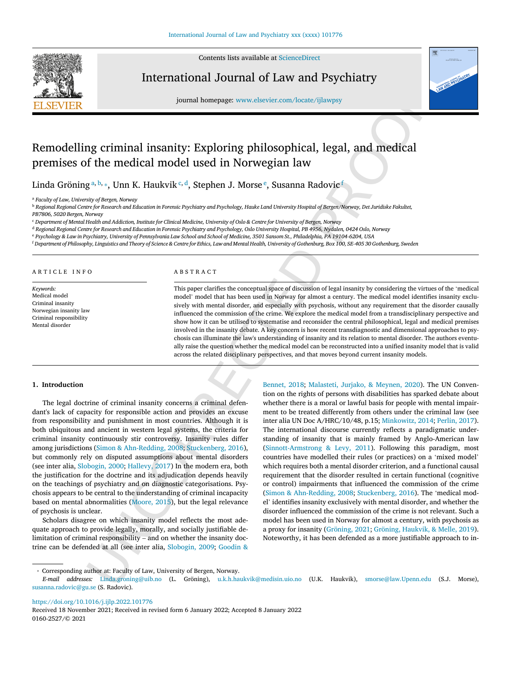

Contents lists available at [ScienceDirect](https://www.sciencedirect.com/science/journal/01602527)

# International Journal of Law and Psychiatry



journal homepage: [www.elsevier.com/locate/ijlawpsy](https://www.elsevier.com/locate/ijlawpsy)

# Remodelling criminal insanity: Exploring philosophical, legal, and medical premises of the medical model used in Norwegian law

Linda Gröning [a](#page-1-0), [b,](#page-1-1) [⁎](#page-1-2) , Unn K. Haukvik [c](#page-1-3), [d](#page-1-4) , Stephen J. Morse [e](#page-1-5) , Susanna Radovic f

<span id="page-1-0"></span><sup>a</sup> *Faculty of Law, University of Bergen, Norway*

<span id="page-1-1"></span><sup>b</sup> Regional Regional Centre for Research and Education in Forensic Psychiatry and Psychology, Hauke Land University Hospital of Bergen/Norway, Det Juridiske Fakultet,

*PB7806, 5020 Bergen, Norway*

<span id="page-1-3"></span><sup>c</sup> Department of Mental Health and Addiction, Institute for Clinical Medicine, University of Oslo & Centre for University of Bergen, Norway

<span id="page-1-4"></span><sup>d</sup> Regional Regional Centre for Research and Education in Forensic Psychiatry and Psychology, Oslo University Hospital, PB 4956, Nydalen, 0424 Oslo, Norway

<span id="page-1-5"></span>e Psychology & Law in Psychiatry, University of Pennsylvania Law School and School of Medicine, 3501 Sansom St., Philadelphia, PA 19104-6204, USA

<span id="page-1-6"></span><sup>f</sup> Department of Philosophy, Linguistics and Theory of Science & Centre for Ethics, Law and Mental Health, University of Gothenburg, Box 100, SE-405 30 Gothenburg, Sweden

#### ARTICLE INFO

*Keywords:* Medical model Criminal insanity Norwegian insanity law Criminal responsibility Mental disorder

#### ABSTRACT

This paper clarifies the conceptual space of discussion of legal insanity by considering the virtues of the 'medical model' model that has been used in Norway for almost a century. The medical model identifies insanity exclusively with mental disorder, and especially with psychosis, without any requirement that the disorder causally influenced the commission of the crime. We explore the medical model from a transdisciplinary perspective and show how it can be utilised to systematise and reconsider the central philosophical, legal and medical premises involved in the insanity debate. A key concern is how recent transdiagnostic and dimensional approaches to psychosis can illuminate the law's understanding of insanity and its relation to mental disorder. The authors eventually raise the question whether the medical model can be reconstructed into a unified insanity model that is valid across the related disciplinary perspectives, and that moves beyond current insanity models.

### **1. Introduction**

The legal doctrine of criminal insanity concerns a criminal defendant's lack of capacity for responsible action and provides an excuse from responsibility and punishment in most countries. Although it is both ubiquitous and ancient in western legal systems, the criteria for criminal insanity continuously stir controversy. Insanity rules differ among jurisdictions (Simon & Ahn-Redding, 2008; Stuckenberg, 2016), but commonly rely on disputed assumptions about mental disorders (see inter alia, Slobogin, 2000; Hallevy, 2017) In the modern era, both the justification for the doctrine and its adjudication depends heavily on the teachings of psychiatry and on diagnostic categorisations. Psychosis appears to be central to the understanding of criminal incapacity based on mental abnormalities (Moore, 2015), but the legal relevance of psychosis is unclear.

Scholars disagree on which insanity model reflects the most adequate approach to provide legally, morally, and socially justifiable delimitation of criminal responsibility – and on whether the insanity doctrine can be defended at all (see inter alia, Slobogin, 2009; Goodin &

 $\label{P:R2} \begin{minipage}[t]{\begin{minipage}[t]{0.9\textwidth}\begin{minipage}[t]{0.9\textwidth}\begin{minipage}[t]{0.9\textwidth}\begin{minipage}[t]{0.9\textwidth}\begin{minipage}[t]{0.9\textwidth}\begin{minipage}[t]{0.9\textwidth}\begin{minipage}[t]{0.9\textwidth}\begin{minipage}[t]{0.9\textwidth}\begin{minipage}[t]{0.9\textwidth}\begin{minipage}[t]{0.9\textwidth}\begin{minipage}[t]{0.9\textwidth}\begin{minipage}[t]{0.9\textwidth}\begin{minipage}[t]{0.9\textwidth}\begin{minipage}[t$  $\label{P:R2} \begin{minipage}[t]{\begin{minipage}[t]{0.9\textwidth}\begin{minipage}[t]{0.9\textwidth}\begin{minipage}[t]{0.9\textwidth}\begin{minipage}[t]{0.9\textwidth}\begin{minipage}[t]{0.9\textwidth}\begin{minipage}[t]{0.9\textwidth}\begin{minipage}[t]{0.9\textwidth}\begin{minipage}[t]{0.9\textwidth}\begin{minipage}[t]{0.9\textwidth}\begin{minipage}[t]{0.9\textwidth}\begin{minipage}[t]{0.9\textwidth}\begin{minipage}[t]{0.9\textwidth}\begin{minipage}[t]{0.9\textwidth}\begin{minipage}[t$  $\label{P:R2} \begin{minipage}[t]{\begin{minipage}[t]{0.9\textwidth}\begin{minipage}[t]{0.9\textwidth}\begin{minipage}[t]{0.9\textwidth}\begin{minipage}[t]{0.9\textwidth}\begin{minipage}[t]{0.9\textwidth}\begin{minipage}[t]{0.9\textwidth}\begin{minipage}[t]{0.9\textwidth}\begin{minipage}[t]{0.9\textwidth}\begin{minipage}[t]{0.9\textwidth}\begin{minipage}[t]{0.9\textwidth}\begin{minipage}[t]{0.9\textwidth}\begin{minipage}[t]{0.9\textwidth}\begin{minipage}[t]{0.9\textwidth}\begin{minipage}[t$ Bennet, 2018; [Malasteti,](#page-7-7) Jurjako, & Meynen, 2020). The UN Convention on the rights of persons with disabilities has sparked debate about whether there is a moral or lawful basis for people with mental impairment to be treated differently from others under the criminal law (see inter alia UN Doc A/HRC/10/48, p.15; [Minkowitz,](#page-7-8) 2014; [Perlin,](#page-7-9) 2017). The international discourse currently reflects a paradigmatic understanding of insanity that is mainly framed by Anglo-American law (Sinnott-Armstrong & Levy, 2011). Following this paradigm, most countries have modelled their rules (or practices) on a 'mixed model' which requires both a mental disorder criterion, and a functional causal requirement that the disorder resulted in certain functional (cognitive or control) impairments that influenced the commission of the crime (Simon & Ahn-Redding, 2008; [Stuckenberg,](#page-7-1) 2016). The 'medical model' identifies insanity exclusively with mental disorder, and whether the disorder influenced the commission of the crime is not relevant. Such a model has been used in Norway for almost a century, with psychosis as a proxy for insanity ([Gröning,](#page-7-11) 2021; Gröning, [Haukvik,](#page-7-12) & Melle, 2019). Noteworthy, it has been defended as a more justifiable approach to in-

<https://doi.org/10.1016/j.ijlp.2022.101776>

Received 18 November 2021; Received in revised form 6 January 2022; Accepted 8 January 2022 0160-2527/© 2021

<sup>⁎</sup> Corresponding author at: Faculty of Law, University of Bergen, Norway.

<span id="page-1-2"></span>*E-mail addresses:* Linda.groning@uib.no (L. Gröning), u.k.h.haukvik@medisin.uio.no (U.K. Haukvik), [smorse@law.Upenn.edu](mailto:smorse@law.Upenn.edu) (S.J. Morse), [susanna.radovic@gu.se](mailto:susanna.radovic@gu.se) (S. Radovic).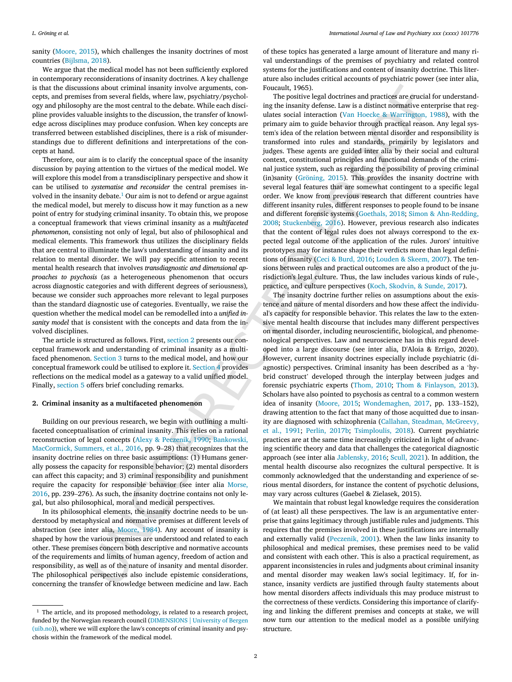sanity [\(Moore,](#page-7-4) 2015), which challenges the insanity doctrines of most countries ([Bijlsma,](#page-6-0) 2018).

We argue that the medical model has not been sufficiently explored in contemporary reconsiderations of insanity doctrines. A key challenge is that the discussions about criminal insanity involve arguments, concepts, and premises from several fields, where law, psychiatry/psychology and philosophy are the most central to the debate. While each discipline provides valuable insights to the discussion, the transfer of knowledge across disciplines may produce confusion. When key concepts are transferred between established disciplines, there is a risk of misunderstandings due to different definitions and interpretations of the concepts at hand.

Therefore, our aim is to clarify the conceptual space of the insanity discussion by paying attention to the virtues of the medical model. We will explore this model from a transdisciplinary perspective and show it can be utilised to *systematise and reconsider* the central premises involved in the insanity debate. [1](#page-2-0) Our aim is not to defend or argue against the medical model, but merely to discuss how it may function as a new point of entry for studying criminal insanity. To obtain this, we propose a conceptual framework that views criminal insanity as a *multifaceted phenomenon*, consisting not only of legal, but also of philosophical and medical elements. This framework thus utilizes the disciplinary fields that are central to illuminate the law's understanding of insanity and its relation to mental disorder. We will pay specific attention to recent mental health research that involves *transdiagnostic and dimensional approaches to psychosis* (as a heterogeneous phenomenon that occurs across diagnostic categories and with different degrees of seriousness)*,* because we consider such approaches more relevant to legal purposes than the standard diagnostic use of categories. Eventually, we raise the question whether the medical model can be remodelled into a *unified insanity model* that is consistent with the concepts and data from the involved disciplines.

The article is structured as follows. First, section 2 presents our conceptual framework and understanding of criminal insanity as a multifaced phenomenon. Section 3 turns to the medical model, and how our conceptual framework could be utilised to explore it. Section 4 provides reflections on the medical model as a gateway to a valid unified model. Finally, [section](#page-6-1) 5 offers brief concluding remarks.

#### <span id="page-2-1"></span>**2. Criminal insanity as a multifaceted phenomenon**

Building on our previous research, we begin with outlining a multifaceted conceptualisation of criminal insanity. This relies on a rational reconstruction of legal concepts (Alexy & Peczenik, 1990; Bankowski, MacCormick, Summers, et al., 2016, pp. 9–28) that recognizes that the insanity doctrine relies on three basic assumptions: (1) Humans generally possess the capacity for responsible behavior; (2) mental disorders can affect this capacity; and 3) criminal responsibility and punishment require the capacity for responsible behavior (see inter alia Morse, [2016,](#page-7-13) pp. 239–276). As such, the insanity doctrine contains not only legal, but also philosophical, moral and medical perspectives.

In its philosophical elements, the insanity doctrine needs to be understood by metaphysical and normative premises at different levels of abstraction (see inter alia, Moore, 1984). Any account of insanity is shaped by how the various premises are understood and related to each other. These premises concern both descriptive and normative accounts of the requirements and limits of human agency, freedom of action and responsibility, as well as of the nature of insanity and mental disorder. The philosophical perspectives also include epistemic considerations, concerning the transfer of knowledge between medicine and law. Each

of these topics has generated a large amount of literature and many rival understandings of the premises of psychiatry and related control systems for the justifications and content of insanity doctrine. This literature also includes critical accounts of psychiatric power (see inter alia, Foucault, 1965).

The positive legal doctrines and practices are crucial for understanding the insanity defense. Law is a distinct normative enterprise that regulates social interaction (Van Hoecke & Warrington, 1988), with the primary aim to guide behavior through practical reason. Any legal system's idea of the relation between mental disorder and responsibility is transformed into rules and standards, primarily by legislators and judges. These agents are guided inter alia by their social and cultural context, constitutional principles and functional demands of the criminal justice system, such as regarding the possibility of proving criminal (in)sanity (Gröning, 2015). This provides the insanity doctrine with several legal features that are somewhat contingent to a specific legal order. We know from previous research that different countries have different insanity rules, different responses to people found to be insane and different forensic systems (Goethals, 2018; Simon & [Ahn-Redding,](#page-7-0) [2008](#page-7-0); Stuckenberg, 2016). However, previous research also indicates that the content of legal rules does not always correspond to the expected legal outcome of the application of the rules. Jurors' intuitive prototypes may for instance shape their verdicts more than legal definitions of insanity (Ceci & Burd, 2016; [Louden](#page-7-17) & Skeem, 2007). The tensions between rules and practical outcomes are also a product of the jurisdiction's legal culture. Thus, the law includes various kinds of rule-, practice, and culture perspectives (Koch, [Skodvin,](#page-7-18) & Sunde, 2017).

Les also concernant and procedure appearance. The measures of the concernent of the system of the concernent of the measure of the measure of the measure of the measure of the measure of the measure of the measure of the The insanity doctrine further relies on assumptions about the existence and nature of mental disorders and how these affect the individual's capacity for responsible behavior. This relates the law to the extensive mental health discourse that includes many different perspectives on mental disorder, including neuroscientific, biological, and phenomenological perspectives. Law and neuroscience has in this regard developed into a large discourse (see inter alia, D'Aloia & Errigo, 2020). However, current insanity doctrines especially include psychiatric (diagnostic) perspectives. Criminal insanity has been described as a 'hybrid construct' developed through the interplay between judges and forensic psychiatric experts [\(Thom,](#page-7-19) 2010; Thom & [Finlayson,](#page-7-20) 2013). Scholars have also pointed to psychosis as central to a common western idea of insanity [\(Moore,](#page-7-4) 2015; [Wondemaghen,](#page-7-21) 2017, pp. 133–152), drawing attention to the fact that many of those acquitted due to insanity are diagnosed with schizophrenia (Callahan, Steadman, [McGreevy,](#page-6-6) et al., 1991; Perlin, 2017b; [Tsimploulis,](#page-7-23) 2018). Current psychiatric practices are at the same time increasingly criticized in light of advancing scientific theory and data that challenges the categorical diagnostic approach (see inter alia [Jablensky,](#page-7-1) 2016; [Scull,](#page-7-24) 2021). In addition, the mental health discourse also recognizes the cultural perspective. It is commonly acknowledged that the understanding and experience of serious mental disorders, for instance the content of psychotic delusions, may vary across cultures (Gaebel & Zielasek, 2015).

We maintain that robust legal knowledge requires the consideration of (at least) all these perspectives. The law is an argumentative enterprise that gains legitimacy through justifiable rules and judgments. This requires that the premises involved in these justifications are internally and externally valid ([Peczenik,](#page-7-25) 2001). When the law links insanity to philosophical and medical premises, these premises need to be valid and consistent with each other. This is also a practical requirement, as apparent inconsistencies in rules and judgments about criminal insanity and mental disorder may weaken law's social legitimacy. If, for instance, insanity verdicts are justified through faulty statements about how mental disorders affects individuals this may produce mistrust to the correctness of these verdicts. Considering this importance of clarifying and linking the different premises and concepts at stake, we will now turn our attention to the medical model as a possible unifying structure.

<span id="page-2-0"></span> $1$  The article, and its proposed methodology, is related to a research project, funded by the Norwegian research council ([DIMENSIONS](https://www.uib.no/en/dimensions) | University of Bergen [\(uib.no\)](https://www.uib.no/en/dimensions)), where we will explore the law's concepts of criminal insanity and psychosis within the framework of the medical model.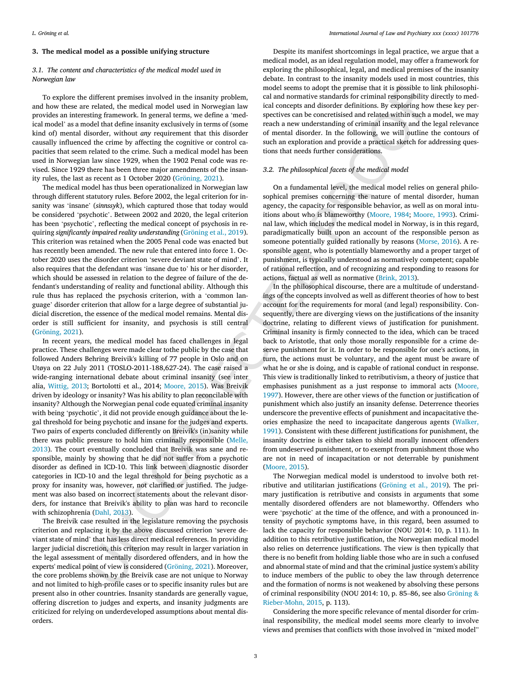## <span id="page-3-0"></span>**3. The medical model as a possible unifying structure**

## *3.1. The content and characteristics of the medical model used in Norwegian law*

To explore the different premises involved in the insanity problem, and how these are related, the medical model used in Norwegian law provides an interesting framework. In general terms, we define a 'medical model' as a model that define insanity exclusively in terms of (some kind of) mental disorder, without *any* requirement that this disorder causally influenced the crime by affecting the cognitive or control capacities that seem related to the crime. Such a medical model has been used in Norwegian law since 1929, when the 1902 Penal code was revised. Since 1929 there has been three major amendments of the insanity rules, the last as recent as 1 October 2020 ([Gröning,](#page-7-11) 2021).

The medical model has thus been operationalized in Norwegian law through different statutory rules. Before 2002, the legal criterion for insanity was 'insane' (*sinnssyk*), which captured those that today would be considered 'psychotic'. Between 2002 and 2020, the legal criterion has been 'psychotic', reflecting the medical concept of psychosis in requiring *significantly impaired reality understanding* [\(Gröning](#page-7-12) et al., 2019). This criterion was retained when the 2005 Penal code was enacted but has recently been amended. The new rule that entered into force 1. October 2020 uses the disorder criterion 'severe deviant state of mind'. It also requires that the defendant was 'insane due to' his or her disorder, which should be assessed in relation to the degree of failure of the defendant's understanding of reality and functional ability. Although this rule thus has replaced the psychosis criterion, with a 'common language' disorder criterion that allow for a large degree of substantial judicial discretion, the essence of the medical model remains. Mental disorder is still sufficient for insanity, and psychosis is still central ([Gröning,](#page-7-11) 2021).

In recent years, the medical model has faced challenges in legal practice. These challenges were made clear tothe public by the case that followed Anders Behring Breivik's killing of 77 people in Oslo and on Utøya on 22 July 2011 (TOSLO-2011-188,627-24). The case raised a wide-ranging international debate about criminal insanity (see inter alia, [Wittig,](#page-7-26) 2013; Bortolotti et al., 2014; Moore, 2015). Was Breivik driven by ideology or insanity? Was his ability to plan reconcilable with insanity? Although the Norwegian penal code equated criminal insanity with being 'psychotic', it did not provide enough guidance about the legal threshold for being psychotic and insane for the judges and experts. Two pairs of experts concluded differently on Breivik's (in)sanity while there was public pressure to hold him criminally responsible (Melle, [2013\)](#page-7-27). The court eventually concluded that Breivik was sane and responsible, mainly by showing that he did not suffer from a psychotic disorder as defined in ICD-10. This link between diagnostic disorder categories in ICD-10 and the legal threshold for being psychotic as a proxy for insanity was, however, not clarified or justified. The judgement was also based on incorrect statements about the relevant disorders, for instance that Breivik's ability to plan was hard to reconcile with schizophrenia (Dahl, 2013).

The Breivik case resulted in the legislature removing the psychosis criterion and replacing it by the above discussed criterion 'severe deviant state of mind' that has less direct medical references. In providing larger judicial discretion, this criterion may result in larger variation in the legal assessment of mentally disordered offenders, and in how the experts' medical point of view is considered (Gröning, 2021). Moreover, the core problems shown by the Breivik case are not unique to Norway and not limited to high-profile cases or to specific insanity rules but are present also in other countries. Insanity standards are generally vague, offering discretion to judges and experts, and insanity judgments are criticized for relying on underdeveloped assumptions about mental disorders.

Despite its manifest shortcomings in legal practice, we argue that a medical model, as an ideal regulation model, may offer a framework for exploring the philosophical, legal, and medical premises of the insanity debate. In contrast to the insanity models used in most countries, this model seems to adopt the premise that it is possible to link philosophical and normative standards for criminal responsibility directly to medical concepts and disorder definitions. By exploring how these key perspectives can be concretisised and related within such a model, we may reach a new understanding of criminal insanity and the legal relevance of mental disorder. In the following, we will outline the contours of such an exploration and provide a practical sketch for addressing questions that needs further considerations.

## *3.2. The philosophical facets of the medical model*

On a fundamental level, the medical model relies on general philosophical premises concerning the nature of mental disorder, human agency, the capacity for responsible behavior, as well as on moral intuitions about who is blameworthy (Moore, 1984; Moore, 1993). Criminal law, which includes the medical model in Norway, is in this regard, paradigmatically built upon an account of the responsible person as someone potentially guided rationally by reasons [\(Morse,](#page-7-13) 2016). A responsible agent, who is potentially blameworthy and a proper target of punishment, is typically understood as normatively competent; capable of rational reflection, and of recognizing and responding to reasons for actions, factual as well as normative [\(Brink,](#page-6-8) 2013).

different permises involved in the massive same and skewne to adopt the permise in a single permission and the permission of the single permission of the single state of the single permission of the single state of the si In the philosophical discourse, there are a multitude of understandings of the concepts involved as well as different theories of how to best account for the requirements for moral (and legal) responsibility. Consequently, there are diverging views on the justifications of the insanity doctrine, relating to different views of justification for punishment. Criminal insanity is firmly connected to the idea, which can be traced back to Aristotle, that only those morally responsible for a crime deserve punishment for it. In order to be responsible for one's actions, in turn, the actions must be voluntary, and the agent must be aware of what he or she is doing, and is capable of rational conduct in response. This view is traditionally linked to retributivism, a theory of justice that emphasises punishment as a just response to immoral acts [\(Moore,](#page-7-26) 1997). However, there are other views of the function or justification of punishment which also justify an insanity defense. Deterrence theories underscore the preventive effects of punishment and incapacitative theories emphasize the need to incapacitate dangerous agents ([Walker,](#page-7-29) 1991). Consistent with these different justifications for punishment, the insanity doctrine is either taken to shield morally innocent offenders from undeserved punishment, or to exempt from punishment those who are not in need of incapacitation or not deterrable by punishment (Moore, 2015).

The Norwegian medical model is understood to involve both retributive and utilitarian justifications ([Gröning](#page-7-12) et al., 2019). The primary justification is retributive and consists in arguments that some mentally disordered offenders are not blameworthy. Offenders who were 'psychotic' at the time of the offence, and with a pronounced intensity of psychotic symptoms have, in this regard, been assumed to lack the capacity for responsible behavior (NOU 2014: 10, p. 111). In addition to this retributive justification, the Norwegian medical model also relies on deterrence justifications. The view is then typically that there is no benefit from holding liable those who are in such a confused and abnormal state of mind and that the criminal justice system's ability to induce members of the public to obey the law through deterrence and the formation of norms is not weakened by absolving these persons of criminal responsibility (NOU 2014: 10, p. 85–86, see also [Gröning](#page-7-0) & [Rieber-Mohn,](#page-7-0) 2015, p. 113).

Considering the more specific relevance of mental disorder for criminal responsibility, the medical model seems more clearly to involve views and premises that conflicts with those involved in "mixed model"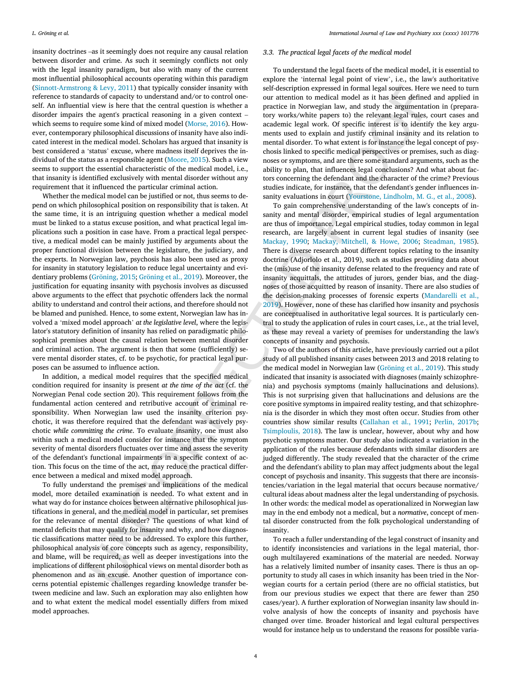insanity doctrines –as it seemingly does not require any causal relation between disorder and crime. As such it seemingly conflicts not only with the legal insanity paradigm, but also with many of the current most influential philosophical accounts operating within this paradigm ([Sinnott-Armstrong](#page-7-10) & Levy, 2011) that typically consider insanity with reference to standards of capacity to understand and/or to control oneself. An influential view is here that the central question is whether a disorder impairs the agent's practical reasoning in a given context – which seems to require some kind of mixed model [\(Morse,](#page-7-13) 2016). However, contemporary philosophical discussions of insanity have also indicated interest in the medical model. Scholars has argued that insanity is best considered a 'status' excuse, where madness itself deprives the individual of the status as a responsible agent ([Moore,](#page-7-4) 2015). Such a view seems to support the essential characteristic of the medical model, i.e., that insanity is identified exclusively with mental disorder without any requirement that it influenced the particular criminal action.

Whether the medical model can be justified or not, thus seems to depend on which philosophical position on responsibility that is taken. At the same time, it is an intriguing question whether a medical model must be linked to a status excuse position, and what practical legal implications such a position in case have. From a practical legal perspective, a medical model can be mainly justified by arguments about the proper functional division between the legislature, the judiciary, and the experts. In Norwegian law, psychosis has also been used as proxy for insanity in statutory legislation to reduce legal uncertainty and evidentiary problems (Gröning, 2015; Gröning et al., 2019). Moreover, the justification for equating insanity with psychosis involves as discussed above arguments to the effect that psychotic offenders lack the normal ability to understand and control their actions, and therefore should not be blamed and punished. Hence, to some extent, Norwegian law has involved a 'mixed model approach' *at the legislative level*, where the legislator's statutory definition of insanity has relied on paradigmatic philosophical premises about the causal relation between mental disorder and criminal action. The argument is then that some (sufficiently) severe mental disorder states, cf. to be psychotic, for practical legal purposes can be assumed to influence action.

In addition, a medical model requires that the specified medical condition required for insanity is present *at the time of the act* (cf. the Norwegian Penal code section 20). This requirement follows from the fundamental action centered and retributive account of criminal responsibility. When Norwegian law used the insanity criterion psychotic, it was therefore required that the defendant was actively psychotic *while committing the crime*. To evaluate insanity, one must also within such a medical model consider for instance that the symptom severity of mental disorders fluctuates over time and assess the severity of the defendant's functional impairments in a specific context of action. This focus on the time of the act, may reduce the practical difference between a medical and mixed model approach.

To fully understand the premises and implications of the medical model, more detailed examination is needed. To what extent and in what way do for instance choices between alternative philosophical justifications in general, and the medical model in particular, set premises for the relevance of mental disorder? The questions of what kind of mental deficits that may qualify for insanity and why, and how diagnostic classifications matter need to be addressed. To explore this further, philosophical analysis of core concepts such as agency, responsibility, and blame, will be required, as well as deeper investigations into the implications of different philosophical views on mental disorder both as phenomenon and as an excuse. Another question of importance concerns potential epistemic challenges regarding knowledge transfer between medicine and law. Such an exploration may also enlighten how and to what extent the medical model essentially differs from mixed model approaches.

#### *3.3. The practical legal facets of the medical model*

To understand the legal facets of the medical model, it is essential to explore the 'internal legal point of view', i.e., the law's authoritative self-description expressed in formal legal sources. Here we need to turn our attention to medical model as it has been defined and applied in practice in Norwegian law, and study the argumentation in (preparatory works/white papers to) the relevant legal rules, court cases and academic legal work. Of specific interest is to identify the key arguments used to explain and justify criminal insanity and its relation to mental disorder. To what extent is for instance the legal concept of psychosis linked to specific medical perspectives or premises, such as diagnoses or symptoms, and are there some standard arguments, such as the ability to plan, that influences legal conclusions? And what about factors concerning the defendant and the character of the crime? Previous studies indicate, for instance, that the defendant's gender influences insanity evaluations in court (Yourstone, Lindholm, M. G., et al., 2008).

To gain comprehensive understanding of the law's concepts of insanity and mental disorder, empirical studies of legal argumentation are thus of importance. Legal empirical studies, today common in legal research, are largely absent in current legal studies of insanity (see [Mackay,](#page-7-19) 1990; Mackay, Mitchell, & Howe, 2006; [Steadman,](#page-7-32) 1985). There is diverse research about different topics relating to the insanity doctrine (Adjorlolo et al., 2019), such as studies providing data about the (mis)use of the insanity defense related to the frequency and rate of insanity acquittals, the attitudes of jurors, gender bias, and the diagnoses of those acquitted by reason of insanity. There are also studies of the decision-making processes of forensic experts ([Mandarelli](#page-7-33) et al., 2019). However, none of these has clarified how insanity and psychosis are conceptualised in authoritative legal sources. It is particularly central to study the application of rules in court cases, i.e., at the trial level, as these may reveal a variety of premises for understanding the law's concepts of insanity and psychosis.

g. E. 12, 2013) that specifies consistent into and started principal represents in further the specific specifies of the specifies of the specific specifies of the specifies of the specifies of the specifies of the specif Two of the authors of this article, have previously carried out a pilot study of all published insanity cases between 2013 and 2018 relating to the medical model in Norwegian law [\(Gröning](#page-7-12) et al., 2019). This study indicated that insanity is associated with diagnoses (mainly schizophrenia) and psychosis symptoms (mainly hallucinations and delusions). This is not surprising given that hallucinations and delusions are the core positive symptoms in impaired reality testing, and that schizophrenia is the disorder in which they most often occur. Studies from other countries show similar results [\(Callahan](#page-6-6) et al., 1991; [Perlin,](#page-7-22) 2017b; Tsimploulis, 2018). The law is unclear, however, about why and how psychotic symptoms matter. Our study also indicated a variation in the application of the rules because defendants with similar disorders are judged differently. The study revealed that the character of the crime and the defendant's ability to plan may affect judgments about the legal concept of psychosis and insanity. This suggests that there are inconsistencies/variation in the legal material that occurs because normative/ cultural ideas about madness alter the legal understanding of psychosis. In other words: the medical model as operationalized in Norwegian law may in the end embody not a medical, but a *normative*, concept of mental disorder constructed from the folk psychological understanding of insanity.

To reach a fuller understanding of the legal construct of insanity and to identify inconsistencies and variations in the legal material, thorough multilayered examinations of the material are needed. Norway has a relatively limited number of insanity cases. There is thus an opportunity to study all cases in which insanity has been tried in the Norwegian courts for a certain period (there are no official statistics, but from our previous studies we expect that there are fewer than 250 cases/year). A further exploration of Norwegian insanity law should involve analysis of how the concepts of insanity and psychosis have changed over time. Broader historical and legal cultural perspectives would for instance help us to understand the reasons for possible varia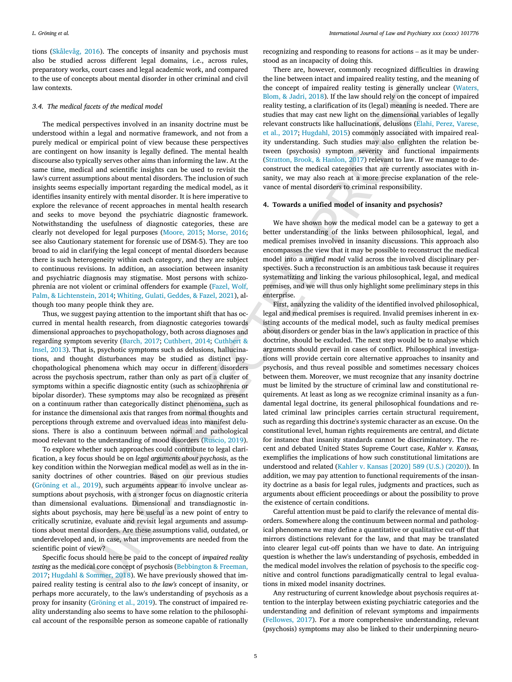tions [\(Skålevåg,](#page-7-34) 2016). The concepts of insanity and psychosis must also be studied across different legal domains, i.e., across rules, preparatory works, court cases and legal academic work, and compared to the use of concepts about mental disorder in other criminal and civil law contexts.

#### *3.4. The medical facets of the medical model*

<span id="page-5-0"></span>The medical perspectives involved in an insanity doctrine must be understood within a legal and normative framework, and not from a purely medical or empirical point of view because these perspectives are contingent on how insanity is legally defined. The mental health discourse also typically serves other aims than informing the law. At the same time, medical and scientific insights can be used to revisit the law's current assumptions about mental disorders. The inclusion of such insights seems especially important regarding the medical model, as it identifies insanity entirely with mental disorder. It is here imperative to explore the relevance of recent approaches in mental health research and seeks to move beyond the psychiatric diagnostic framework. Notwithstanding the usefulness of diagnostic categories, these are clearly not developed for legal purposes ([Moore,](#page-7-4) 2015; [Morse,](#page-7-13) 2016; see also Cautionary statement for forensic use of DSM-5). They are too broad to aid in clarifying the legal concept of mental disorders because there is such heterogeneity within each category, and they are subject to continuous revisions. In addition, an association between insanity and psychiatric diagnosis may stigmatise. Most persons with schizophrenia are not violent or criminal offenders for example (Fazel, Wolf, Palm, & Lichtenstein, 2014; Whiting, Gulati, Geddes, & Fazel, 2021), although too many people think they are.

Thus, we suggest paying attention to the important shift that has occurred in mental health research, from diagnostic categories towards dimensional approaches to psychopathology, both across diagnoses and regarding symptom severity (Barch, 2017; Cuthbert, 2014; Cuthbert & [Insel,](#page-6-12) 2013). That is, psychotic symptoms such as delusions, hallucinations, and thought disturbances may be studied as distinct psychopathological phenomena which may occur in different disorders across the psychosis spectrum, rather than only as part of a cluster of symptoms within a specific diagnostic entity (such as schizophrenia or bipolar disorder). These symptoms may also be recognized as present on a continuum rather than categorically distinct phenomena, such as for instance the dimensional axis that ranges from normal thoughts and perceptions through extreme and overvalued ideas into manifest delusions. There is also a continuum between normal and pathological mood relevant to the understanding of mood disorders (Ruscio, 2019).

To explore whether such approaches could contribute to legal clarification, a key focus should be on *legal arguments about psychosis*, as the key condition within the Norwegian medical model as well as in the insanity doctrines of other countries. Based on our previous studies ([Gröning](#page-7-12) et al., 2019), such arguments appear to involve unclear assumptions about psychosis, with a stronger focus on diagnostic criteria than dimensional evaluations. Dimensional and transdiagnostic insights about psychosis, may here be useful as a new point of entry to critically scrutinize, evaluate and revisit legal arguments and assumptions about mental disorders. Are these assumptions valid, outdated, or underdeveloped and, in case, what improvements are needed from the scientific point of view?

Specific focus should here be paid to the concept of *impaired reality testing* as the medical core concept of psychosis (Bebbington & Freeman, [2017;](#page-6-13) Hugdahl & Sommer, 2018). We have previously showed that impaired reality testing is central also to *the law's* concept of insanity, or perhaps more accurately, to the law's understanding of psychosis as a proxy for insanity [\(Gröning](#page-7-12) et al., 2019). The construct of impaired reality understanding also seems to have some relation to the philosophical account of the responsible person as someone capable of rationally

recognizing and responding to reasons for actions – as it may be understood as an incapacity of doing this.

There are, however, commonly recognized difficulties in drawing the line between intact and impaired reality testing, and the meaning of the concept of impaired reality testing is generally unclear [\(Waters,](#page-7-8) Blom, & Jadri, 2018). If the law should rely on the concept of impaired reality testing, a clarification of its (legal) meaning is needed. There are studies that may cast new light on the dimensional variables of legally relevant constructs like hallucinations, delusions (Elahi, Perez, Varese, et al., [2017;](#page-6-14) Hugdahl, 2015) commonly associated with impaired reality understanding. Such studies may also enlighten the relation between (psychosis) symptom severity and functional impairments (Stratton, Brook, & Hanlon, 2017) relevant to law. If we manage to deconstruct the medical categories that are currently associates with insanity, we may also reach at a more precise explanation of the relevance of mental disorders to criminal responsibility.

#### **4. Towards a unified model of insanity and psychosis?**

We have shown how the medical model can be a gateway to get a better understanding of the links between philosophical, legal, and medical premises involved in insanity discussions. This approach also encompasses the view that it may be possible to reconstruct the medical model into a *unified model* valid across the involved disciplinary perspectives. Such a reconstruction is an ambitious task because it requires systematizing and linking the various philosophical, legal, and medical premises, and we will thus only highlight some preliminary steps in this enterprise.

above of the newborhood in a material place in the spheric reality into the spheric spheric and the spheric spheric spheric spheric spheric spheric spheric spheric spheric spheric spheric spheric spheric spheric spheric s First, analyzing the validity of the identified involved philosophical, legal and medical premises is required. Invalid premises inherent in existing accounts of the medical model, such as faulty medical premises about disorders or gender bias in the law's application in practice of this doctrine, should be excluded. The next step would be to analyse which arguments should prevail in cases of conflict. Philosophical investigations will provide certain core alternative approaches to insanity and psychosis, and thus reveal possible and sometimes necessary choices between them. Moreover, we must recognize that any insanity doctrine must be limited by the structure of criminal law and constitutional requirements. At least as long as we recognize criminal insanity as a fundamental legal doctrine, its general philosophical foundations and related criminal law principles carries certain structural requirement, such as regarding this doctrine's systemic character as an excuse. On the constitutional level, human rights requirements are central, and dictate for instance that insanity standards cannot be discriminatory. The recent and debated United States Supreme Court case, *Kahler v. Kansas,* exemplifies the implications of how such constitutional limitations are understood and related (Kahler v. Kansas [\[2020\]](#page-7-36) 589 (U.S.) (2020)). In addition, we may pay attention to functional requirements of the insanity doctrine as a basis for legal rules, judgments and practices, such as arguments about efficient proceedings or about the possibility to prove the existence of certain conditions.

Careful attention must be paid to clarify the relevance of mental disorders. Somewhere along the continuum between normal and pathological phenomena we may define a quantitative or qualitative cut-off that mirrors distinctions relevant for the law, and that may be translated into clearer legal cut-off points than we have to date. An intriguing question is whether the law's understanding of psychosis, embedded in the medical model involves the relation of psychosis to the specific cognitive and control functions paradigmatically central to legal evaluations in mixed model insanity doctrines.

Any restructuring of current knowledge about psychosis requires attention to the interplay between existing psychiatric categories and the understanding and definition of relevant symptoms and impairments [\(Fellowes,](#page-6-15) 2017). For a more comprehensive understanding, relevant (psychosis) symptoms may also be linked to their underpinning neuro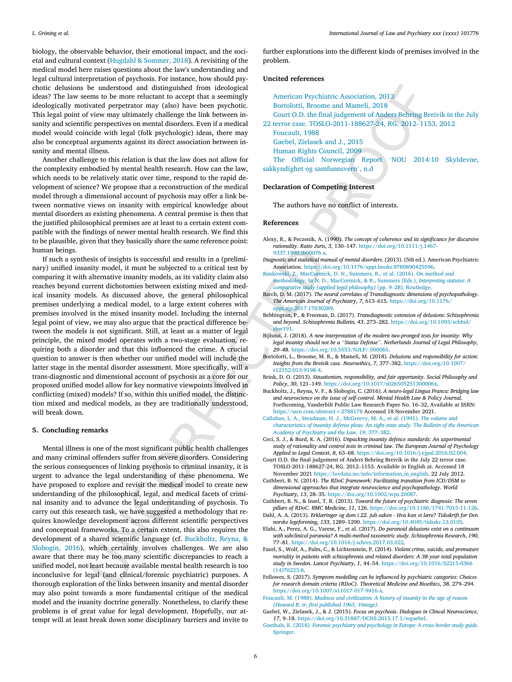biology, the observable behavior, their emotional impact, and the societal and cultural context (Hugdahl & [Sommer,](#page-7-5) 2018). A revisiting of the medical model here raises questions about the law's understanding and legal cultural interpretation of psychosis. For instance, how should psychotic delusions be understood and distinguished from ideological ideas? The law seems to be more reluctant to accept that a seemingly ideologically motivated perpetrator may (also) have been psychotic. This legal point of view may ultimately challenge the link between insanity and scientific perspectives on mental disorders. Even if a medical model would coincide with legal (folk psychologic) ideas, there may also be conceptual arguments against its direct association between insanity and mental illness.

<span id="page-6-17"></span><span id="page-6-10"></span><span id="page-6-3"></span><span id="page-6-2"></span>Another challenge to this relation is that the law does not allow for the complexity embodied by mental health research. How can the law, which needs to be relatively static over time, respond to the rapid development of science? We propose that a reconstruction of the medical model through a dimensional account of psychosis may offer a link between normative views on insanity with empirical knowledge about mental disorders as existing phenomena. A central premise is then that the justified philosophical premises are at least to a certain extent compatible with the findings of newer mental health research. We find this to be plausible, given that they basically share the same reference point: human beings.

be undergood and distinguished from interlogional control in the control in the control in the control interlogional control in the control interlogional control in the control interlogional control interlogional control If such a synthesis of insights is successful and results in a (preliminary) unified insanity model, it must be subjected to a critical test by comparing it with alternative insanity models, as its validity claim also reaches beyond current dichotomies between existing mixed and medical insanity models. As discussed above, the general philosophical premises underlying a medical model, to a large extent coheres with premises involved in the mixed insanity model. Including the internal legal point of view, we may also argue that the practical difference between the models is not significant. Still, at least as a matter of legal principle, the mixed model operates with a two-stage evaluation, requiring both a disorder and that this influenced the crime. A crucial question to answer is then whether our unified model will include the latter stage in the mental disorder assessment. More specifically, will a trans-diagnostic and dimensional account of psychosis as a core for our proposed unified model allow for key normative viewpoints involved in conflicting (mixed) models? If so, within this unified model, the distinction mixed and medical models, as they are traditionally understood, will break down.

## <span id="page-6-18"></span><span id="page-6-16"></span><span id="page-6-13"></span><span id="page-6-8"></span><span id="page-6-6"></span><span id="page-6-1"></span><span id="page-6-0"></span>**5. Concluding remarks**

<span id="page-6-21"></span><span id="page-6-20"></span><span id="page-6-19"></span><span id="page-6-15"></span><span id="page-6-14"></span><span id="page-6-12"></span><span id="page-6-11"></span><span id="page-6-9"></span><span id="page-6-7"></span><span id="page-6-5"></span><span id="page-6-4"></span>Mental illness is one of the most significant public health challenges and many criminal offenders suffer from severe disorders. Considering the serious consequences of linking psychosis to criminal insanity, it is urgent to advance the legal understanding of these phenomena. We have proposed to explore and revisit the medical model to create new understanding of the philosophical, legal, and medical facets of criminal insanity and to advance the legal understanding of psychosis. To carry out this research task, we have suggested a methodology that requires knowledge development across different scientific perspectives and conceptual frameworks. To a certain extent, this also requires the development of a shared scientific language (cf. Buckholtz, Reyna, & [Slobogin,](#page-6-16) 2016), which certainly involves challenges. We are also aware that there may be too many scientific discrepancies to reach a unified model, not least because available mental health research is too inconclusive for legal (and clinical/forensic psychiatric) purposes. A thorough exploration of the links between insanity and mental disorder may also point towards a more fundamental critique of the medical model and the insanity doctrine generally. Nonetheless, to clarify these problems is of great value for legal development. Hopefully, our attempt will at least break down some disciplinary barriers and invite to

further explorations into the different kinds of premises involved in the problem.

#### **Uncited references**

| American Psychiatric Association, 2013                               |
|----------------------------------------------------------------------|
| Bortolotti, Broome and Mameli, 2018                                  |
| Court O.D. the final judgement of Anders Behring Breivik in the July |
| 22 terror case. TOSLO-2011-188627-24, RG. 2012-1153, 2012            |
| Foucault, 1988                                                       |
| Gaebel, Zielasek and J., 2015                                        |
| Human Rights Council, 2009                                           |
| The Official Norwegian Report<br>'NOU 2014:10 Skyldevne,             |
| sakkyndighet og samfunnsvern', n.d                                   |
|                                                                      |

## **Declaration of Competing Interest**

The authors have no conflict of interests.

#### **References**

- Alexy, R., & Peczenik, A. (1990). *The concept of coherence and its significance for discursive rationality*. *Ratio Juris*, *3*, 130–147. [https://doi.org/10.1111/j.1467-](https://doi.org/10.1111/j.1467-9337.1990.tb00076.x) 9337.1990.tb00076.x.
- *Diagnostic and statistical manual of mental disorders*. (2013). (5th ed.). American Psychiatric Association. [https://doi.org/10.1176/appi.books.9780890425596.](https://doi.org/10.1176/appi.books.9780890425596)
- Bankowski, Z., MacCormick, D. N., Summers, R., et al. (2016). On method and methodology. In N. D., MacCormick, & R., Summers (Eds.), *Interpreting statutes: A comparative study (applied legal philosophy)* (pp. 9–28). Routledge.
- Barch, D. M. (2017). *The neural correlates of Transdiagnostic dimensions of psychopathology*. *The American Journal of Psychiatry*, *7*, 613–615. [https://doi.org/10.1176/](https://doi.org/10.1176/appi.ajp.2017.17030289) appi.ajp.2017.17030289.
- Bebbington, P., & Freeman, D. (2017). *Transdiagnostic extension of delusions: Schizophrenia and beyond*. *Schizophrenia Bulletin*, *43*, 273–282. [https://doi.org/10.1093/schbul/](https://doi.org/10.1093/schbul/sbw191) sbw191.
- Bijlsma, J. (2018). *A new interpretation of the modern two-pronged tests for insanity: Why legal insanity should not be a "Status Defense"*. *Netherlands Journal of Legal Philosophy*, *29*–*48*. <https://doi.org/10.5553/NJLP/.000065>.
- Bortolotti, L., Broome, M. R., & Mameli, M. (2018). *Delusions and responsibility for action: Insights from the Breivik case*. *Neuroethics*, *7*, 377–382. [https://doi.org/10.1007/](https://doi.org/10.1007/s12152-013-9198-4) s12152-013-9198-4.
- Brink, D. O. (2013). *Situationism, responsibility, and fair opportunity*. *Social Philosophy and Policy*, *30*, 121–149. [https://doi.org/10.1017/s026505251300006x.](https://doi.org/10.1017/s026505251300006x)
- Buckholtz, J., Reyna, V. F., & Slobogin, C. (2016). *A neuro-legal Lingua Franca: Bridging law and neuroscience on the issue of self-control*. *Mental Health Law & Policy Journal*. Forthcoming, Vanderbilt Public Law Research Paper No. 16–32, Available at SSRN: <https://ssrn.com/abstract=2788178> Accessed 18 November 2021.
- Callahan, L. A., Steadman, H. J., McGreevy, M. A., et al. (1991). *The volume and characteristics of insanity defense pleas: An eight-state study*. *The Bulletin of the American Academy of Psychiatry and the Law*, *19*, 377–382.
- Ceci, S. J., & Burd, K. A. (2016). *Unpacking insanity defence standards: An axperimental study of rationality and control tests in criminal law*. *The European Journal of Psychology Applied to Legal Context*, *8*, 63–68. <https://doi.org/10.1016/j.ejpal.2016.02.004>.
- Court O.D. the final judgement of Anders Behring Breivik in the July 22 terror case. TOSLO-2011-188627-24, RG. 2012–1153. Available in English at. Accessed 18 November 2021 [https://lovdata.no/info/information\\_in\\_english](https://lovdata.no/info/information_in_english). 22 July 2012.
- Cuthbert, B. N. (2014). *The RDoC framework: Facilitating transition from ICD/DSM to dimensional approaches that integrate neuroscience and psychopathology*. *World Psychiatry*, *13*, 28–35. <https://doi.org/10.1002/wps.20087>.
- Cuthbert, B. N., & Insel, T. R. (2013). *Toward the future of psychiatric diagnosis: The seven pillars of RDoC*. *BMC Medicine*, *11*, 126. <https://doi.org/10.1186/1741-7015-11-126>.
- Dahl, A. A. (2013). *Erklæringer og dom i 22. juli-saken - Hva kan vi lære? Tidsskrift for Den norske legeforening*, *133*, 1289–1290. <https://doi.org/10.4045/tidsskr.13.0105>.
- Elahi, A., Perez, A. G., Varese, F., et al. (2017). *Do paranoid delusions exist on a continuum with subclinical paranoia? A multi-method taxometric study*. *Schizophrenia Research*, *190*, 77–81. [https://doi.org/10.1016/j.schres.2017.03.022.](https://doi.org/10.1016/j.schres.2017.03.022)
- Fazel, S., Wolf, A., Palm, C., & Lichtenstein, P. (2014). *Violent crime, suicide, and premature mortality in patients with schizophrenia and related disorders: A 38-year total population study in Sweden*. *Lancet Psychiatry*, *1*, 44–54. [https://doi.org/10.1016/S2215-0366](https://doi.org/10.1016/S2215-0366(14)70223-8) (14)70223-8.
- Fellowes, S. (2017). *Symptom modelling can be influenced by psychiatric categories: Choices for research domain criteria (RDoC)*. *Theoretical Medicine and Bioethics*, *38*, 279–294. [https://doi.org/10.1007/s11017-017-9416-x.](https://doi.org/10.1007/s11017-017-9416-x)
- Foucault, M. (1988). *Madness and [civilization:](http://refhub.elsevier.com/S0160-2527(22)00002-4/rf0095) A history of insanity in the age of reason (Howard R. tr, first [published](http://refhub.elsevier.com/S0160-2527(22)00002-4/rf0095) 1965, Vintage)*.
- Gaebel, W., Zielasek, J., & J. (2015). *Focus on psychosis*. *Dialogues in Clincal Neuroscience*, *17*, 9–18. <https://doi.org/10.31887/DCNS.2015.17.1/wgaebel>.
- Goethals, K. (2018). *Forensic psychiatry and psychology in Europe: A [cross-border](http://refhub.elsevier.com/S0160-2527(22)00002-4/rf0105) study guide*. [Springer.](http://refhub.elsevier.com/S0160-2527(22)00002-4/rf0105)